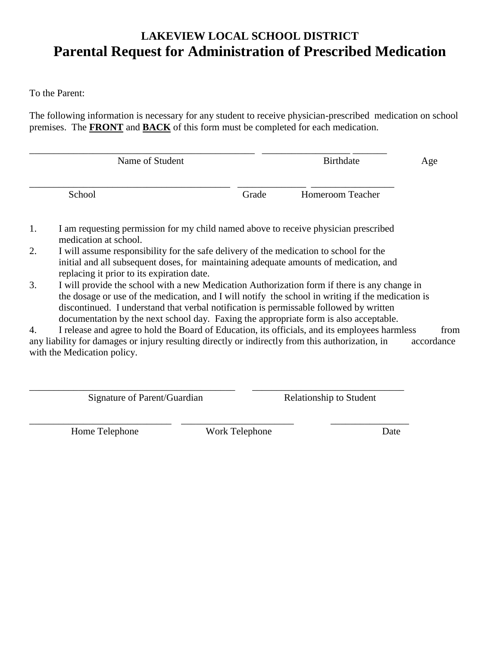## **LAKEVIEW LOCAL SCHOOL DISTRICT Parental Request for Administration of Prescribed Medication**

To the Parent:

The following information is necessary for any student to receive physician-prescribed medication on school premises. The **FRONT** and **BACK** of this form must be completed for each medication.

| Name of Student |       | Birthdate        |  |
|-----------------|-------|------------------|--|
| School          | Grade | Homeroom Teacher |  |

- 1. I am requesting permission for my child named above to receive physician prescribed medication at school.
- 2. I will assume responsibility for the safe delivery of the medication to school for the initial and all subsequent doses, for maintaining adequate amounts of medication, and replacing it prior to its expiration date.
- 3. I will provide the school with a new Medication Authorization form if there is any change in the dosage or use of the medication, and I will notify the school in writing if the medication is discontinued. I understand that verbal notification is permissable followed by written documentation by the next school day. Faxing the appropriate form is also acceptable.

4. I release and agree to hold the Board of Education, its officials, and its employees harmless from any liability for damages or injury resulting directly or indirectly from this authorization, in accordance with the Medication policy.

\_\_\_\_\_\_\_\_\_\_\_\_\_\_\_\_\_\_\_\_\_\_\_\_\_\_\_\_\_\_\_\_\_\_\_\_\_\_\_\_\_\_ \_\_\_\_\_\_\_\_\_\_\_\_\_\_\_\_\_\_\_\_\_\_\_\_\_\_\_\_\_\_\_ Signature of Parent/Guardian Relationship to Student

\_\_\_\_\_\_\_\_\_\_\_\_\_\_\_\_\_\_\_\_\_\_\_\_\_\_\_\_\_ \_\_\_\_\_\_\_\_\_\_\_\_\_\_\_\_\_\_\_\_\_\_\_ \_\_\_\_\_\_\_\_\_\_\_\_\_\_\_\_ Home Telephone **Work Telephone** Date